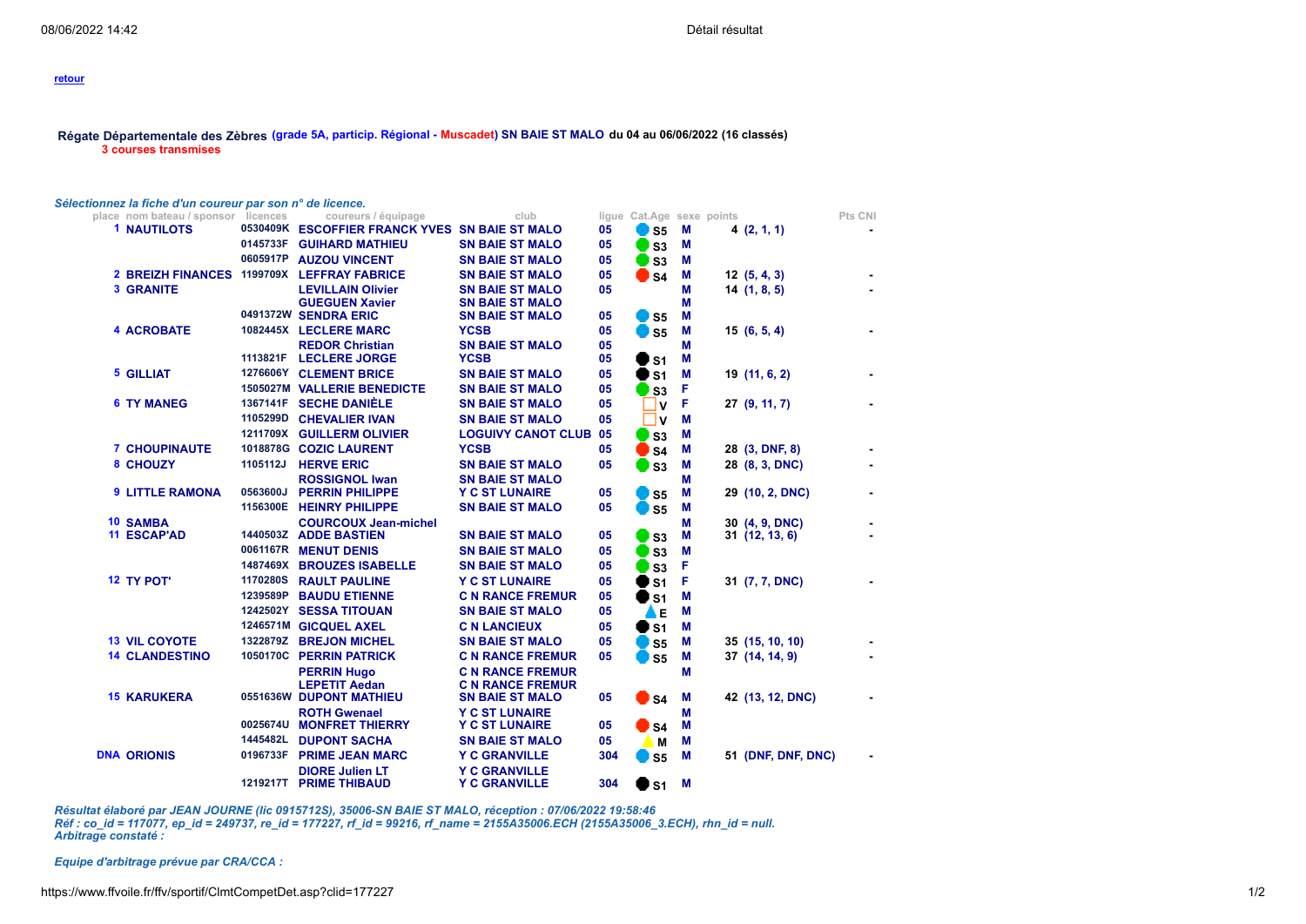## **retour**

## **Régate [Départementale](https://www.ffvoile.fr/ffv/sportif/Calendrier/Fiche_Detail.aspx?id=117077) des Zèbres (grade 5A, particip. Régional - Muscadet) SN BAIE ST MALO du 04 au 06/06/2022 (16 classés) 3 courses transmises**

## *Sélectionnez la fiche d'un coureur par son n° de licence.*

| place nom bateau / sponsor                 | licences | coureurs / équipage                             | club                                            |          |                   | ligue Cat.Age sexe points |                    | Pts CNI |
|--------------------------------------------|----------|-------------------------------------------------|-------------------------------------------------|----------|-------------------|---------------------------|--------------------|---------|
| <b>1 NAUTILOTS</b>                         |          | 0530409K ESCOFFIER FRANCK YVES SN BAIE ST MALO  |                                                 | 05       | <b>B</b> S5       | М                         | 4(2, 1, 1)         |         |
|                                            | 0145733F | <b>GUIHARD MATHIEU</b>                          | <b>SN BAIE ST MALO</b>                          | 05       | $\Box$ S3         | M                         |                    |         |
|                                            | 0605917P | <b>AUZOU VINCENT</b>                            | <b>SN BAIE ST MALO</b>                          | 05       | $\Box$ S3         | M                         |                    |         |
| 2 BREIZH FINANCES 1199709X LEFFRAY FABRICE |          |                                                 | <b>SN BAIE ST MALO</b>                          | 05       | $\blacksquare$ S4 | M                         | 12(5, 4, 3)        |         |
| <b>3 GRANITE</b>                           |          | <b>LEVILLAIN Olivier</b>                        | <b>SN BAIE ST MALO</b>                          | 05       |                   | М                         | 14(1, 8, 5)        |         |
|                                            |          | <b>GUEGUEN Xavier</b>                           | <b>SN BAIE ST MALO</b>                          |          |                   | М                         |                    |         |
|                                            |          | 0491372W SENDRA ERIC                            | <b>SN BAIE ST MALO</b>                          | 05       | $\bullet$ ss      | M                         |                    |         |
| <b>4 ACROBATE</b>                          |          | 1082445X LECLERE MARC                           | <b>YCSB</b>                                     | 05       | <b>D</b> S5       | М                         | 15(6, 5, 4)        |         |
|                                            | 1113821F | <b>REDOR Christian</b><br><b>LECLERE JORGE</b>  | <b>SN BAIE ST MALO</b><br><b>YCSB</b>           | 05<br>05 |                   | М<br>M                    |                    |         |
| <b>5 GILLIAT</b>                           |          | 1276606Y CLEMENT BRICE                          | <b>SN BAIE ST MALO</b>                          |          | $\blacksquare$ S1 |                           |                    |         |
|                                            |          | 1505027M VALLERIE BENEDICTE                     | <b>SN BAIE ST MALO</b>                          | 05<br>05 | $\bullet$ s1      | M                         | 19 (11, 6, 2)      |         |
| <b>6 TY MANEG</b>                          |          | 1367141F SECHE DANIÈLE                          | <b>SN BAIE ST MALO</b>                          |          | $\blacksquare$ s3 | F                         |                    |         |
|                                            |          | 1105299D CHEVALIER IVAN                         | <b>SN BAIE ST MALO</b>                          | 05<br>05 | $\mathbf v$       | F                         | 27(9, 11, 7)       |         |
|                                            |          | 1211709X GUILLERM OLIVIER                       |                                                 |          | <b>V</b>          | M                         |                    |         |
|                                            |          |                                                 | <b>LOGUIVY CANOT CLUB</b>                       | 05       | $\Box$ S3         | M                         |                    |         |
| <b>7 CHOUPINAUTE</b>                       |          | 1018878G COZIC LAURENT                          | <b>YCSB</b>                                     | 05       | $\blacksquare$ S4 | М                         | 28 (3, DNF, 8)     |         |
| 8 CHOUZY                                   | 1105112J | <b>HERVE ERIC</b>                               | <b>SN BAIE ST MALO</b>                          | 05       | $\Box$ S3         | М                         | 28 (8, 3, DNC)     |         |
| <b>9 LITTLE RAMONA</b>                     | 0563600J | <b>ROSSIGNOL Iwan</b><br><b>PERRIN PHILIPPE</b> | <b>SN BAIE ST MALO</b><br><b>Y C ST LUNAIRE</b> | 05       | <b>D</b> S5       | M<br>М                    | 29 (10, 2, DNC)    |         |
|                                            | 1156300E | <b>HEINRY PHILIPPE</b>                          | <b>SN BAIE ST MALO</b>                          | 05       | <b>B</b> S5       | M                         |                    |         |
| <b>10 SAMBA</b>                            |          | <b>COURCOUX Jean-michel</b>                     |                                                 |          |                   | M                         | 30 (4, 9, DNC)     |         |
| <b>11 ESCAP'AD</b>                         |          | 1440503Z ADDE BASTIEN                           | <b>SN BAIE ST MALO</b>                          | 05       | $\Box$ S3         | М                         | 31 (12, 13, 6)     |         |
|                                            |          | 0061167R MENUT DENIS                            | <b>SN BAIE ST MALO</b>                          | 05       | $\Box$ S3         | M                         |                    |         |
|                                            | 1487469X | <b>BROUZES ISABELLE</b>                         | <b>SN BAIE ST MALO</b>                          | 05       | $\Box$ S3         | F                         |                    |         |
| <b>12 TY POT'</b>                          | 1170280S | <b>RAULT PAULINE</b>                            | <b>Y C ST LUNAIRE</b>                           | 05       | $\blacksquare$ S1 | F                         | 31 (7, 7, DNC)     |         |
|                                            | 1239589P | <b>BAUDU ETIENNE</b>                            | <b>C N RANCE FREMUR</b>                         | 05       | $\blacksquare$ S1 | М                         |                    |         |
|                                            |          | 1242502Y SESSA TITOUAN                          | <b>SN BAIE ST MALO</b>                          | 05       | ▲                 | М                         |                    |         |
|                                            |          | 1246571M GICQUEL AXEL                           | <b>C N LANCIEUX</b>                             | 05       | $\bullet$ s1      | М                         |                    |         |
| <b>13 VIL COYOTE</b>                       |          | 1322879Z BREJON MICHEL                          | <b>SN BAIE ST MALO</b>                          | 05       | $\bullet$ ss      | M                         | 35 (15, 10, 10)    |         |
| <b>14 CLANDESTINO</b>                      |          | 1050170C PERRIN PATRICK                         | <b>C N RANCE FREMUR</b>                         | 05       | $\bullet$ ss      | М                         | 37 (14, 14, 9)     |         |
|                                            |          | <b>PERRIN Hugo</b>                              | <b>C N RANCE FREMUR</b>                         |          |                   | M                         |                    |         |
|                                            |          | <b>LEPETIT Aedan</b>                            | <b>C N RANCE FREMUR</b>                         |          |                   |                           |                    |         |
| <b>15 KARUKERA</b>                         |          | 0551636W DUPONT MATHIEU                         | <b>SN BAIE ST MALO</b>                          | 05       | $\blacksquare$ S4 | M                         | 42 (13, 12, DNC)   |         |
|                                            |          | <b>ROTH Gwenael</b>                             | <b>Y C ST LUNAIRE</b>                           |          |                   | М                         |                    |         |
|                                            | 0025674U | <b>MONFRET THIERRY</b>                          | <b>Y C ST LUNAIRE</b>                           | 05       | $\blacksquare$ S4 | M                         |                    |         |
|                                            | 1445482L | <b>DUPONT SACHA</b>                             | <b>SN BAIE ST MALO</b>                          | 05       | M                 | М                         |                    |         |
| <b>DNA ORIONIS</b>                         | 0196733F | <b>PRIME JEAN MARC</b>                          | <b>Y C GRANVILLE</b>                            | 304      | <b>B</b> S5       | M                         | 51 (DNF, DNF, DNC) |         |
|                                            |          | <b>DIORE Julien LT</b>                          | <b>Y C GRANVILLE</b>                            |          |                   |                           |                    |         |
|                                            |          | 1219217T PRIME THIBAUD                          | <b>Y C GRANVILLE</b>                            | 304      | ∣S1               | М                         |                    |         |

*Résultat élaboré par JEAN JOURNE (lic 0915712S), 35006-SN BAIE ST MALO, réception : 07/06/2022 19:58:46 Réf : co\_id = 117077, ep\_id = 249737, re\_id = 177227, rf\_id = 99216, rf\_name = 2155A35006.ECH (2155A35006\_3.ECH), rhn\_id = null. Arbitrage constaté :* 

*Equipe d'arbitrage prévue par CRA/CCA :*